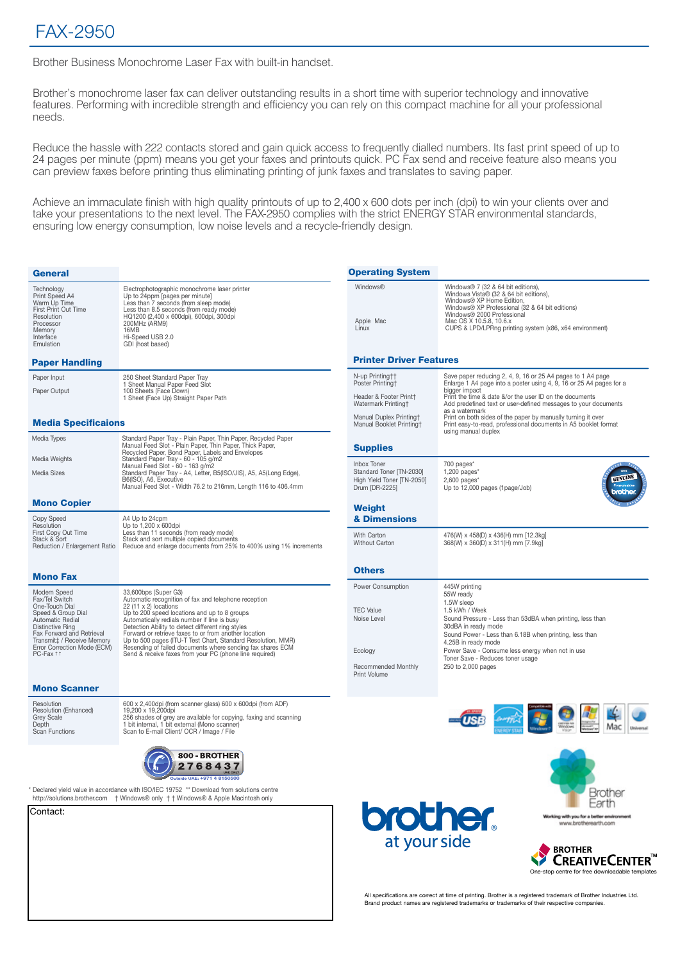Brother Business Monochrome Laser Fax with built-in handset.

Brother's monochrome laser fax can deliver outstanding results in a short time with superior technology and innovative features. Performing with incredible strength and efficiency you can rely on this compact machine for all your professional needs.

Reduce the hassle with 222 contacts stored and gain quick access to frequently dialled numbers. Its fast print speed of up to 24 pages per minute (ppm) means you get your faxes and printouts quick. PC Fax send and receive feature also means you can preview faxes before printing thus eliminating printing of junk faxes and translates to saving paper.

Achieve an immaculate finish with high quality printouts of up to 2,400 x 600 dots per inch (dpi) to win your clients over and take your presentations to the next level. The FAX-2950 complies with the strict ENERGY STAR environmental standards, ensuring low energy consumption, low noise levels and a recycle-friendly design.

| <b>Operating System</b>                                                                                                                                                                                                                                                                                                                                                                                                                                                                                                                                                                                                                                                                 |
|-----------------------------------------------------------------------------------------------------------------------------------------------------------------------------------------------------------------------------------------------------------------------------------------------------------------------------------------------------------------------------------------------------------------------------------------------------------------------------------------------------------------------------------------------------------------------------------------------------------------------------------------------------------------------------------------|
| Windows®<br>Windows® 7 (32 & 64 bit editions).<br>Windows Vista® (32 & 64 bit editions),<br>Windows® XP Home Edition,<br>Windows® XP Professional (32 & 64 bit editions)<br>Windows® 2000 Professional<br>Mac OS X 10.5.8, 10.6.x<br>Apple Mac<br>CUPS & LPD/LPRng printing system (x86, x64 environment)<br>Linux                                                                                                                                                                                                                                                                                                                                                                      |
| <b>Printer Driver Features</b>                                                                                                                                                                                                                                                                                                                                                                                                                                                                                                                                                                                                                                                          |
| N-up Printing††<br>Save paper reducing 2, 4, 9, 16 or 25 A4 pages to 1 A4 page<br>Poster Printing†<br>Enlarge 1 A4 page into a poster using 4, 9, 16 or 25 A4 pages for a<br>bigger impact<br>Print the time & date &/or the user ID on the documents<br>Header & Footer Print†<br>Watermark Printing†<br>Add predefined text or user-defined messages to your documents<br>as a watermark                                                                                                                                                                                                                                                                                              |
| Manual Duplex Printing†<br>Print on both sides of the paper by manually turning it over<br>Print easy-to-read, professional documents in A5 booklet format<br>Manual Booklet Printing†<br>using manual duplex                                                                                                                                                                                                                                                                                                                                                                                                                                                                           |
| Supplies                                                                                                                                                                                                                                                                                                                                                                                                                                                                                                                                                                                                                                                                                |
| Inbox Toner<br>700 pages*<br>Standard Toner [TN-2030]<br>$1,200$ pages $*$<br>GENUIN<br>High Yield Toner [TN-2050]<br>$2,600$ pages*<br>Drum [DR-2225]<br>Up to 12,000 pages (1page/Job)<br>orothe                                                                                                                                                                                                                                                                                                                                                                                                                                                                                      |
| Weight<br>& Dimensions                                                                                                                                                                                                                                                                                                                                                                                                                                                                                                                                                                                                                                                                  |
| With Carton<br>476(W) x 458(D) x 436(H) mm [12.3kg]<br>Without Carton<br>368(W) x 360(D) x 311(H) mm [7.9kg]<br>Reduce and enlarge documents from 25% to 400% using 1% increments                                                                                                                                                                                                                                                                                                                                                                                                                                                                                                       |
| <b>Others</b>                                                                                                                                                                                                                                                                                                                                                                                                                                                                                                                                                                                                                                                                           |
| <b>Power Consumption</b><br>445W printing<br>55W ready<br>1.5W sleep<br><b>TEC Value</b><br>1.5 kWh / Week<br>Noise Level<br>Sound Pressure - Less than 53dBA when printing, less than<br>30dBA in ready mode<br>Sound Power - Less than 6.18B when printing, less than<br>4.25B in ready mode<br>Power Save - Consume less energy when not in use<br>Ecology<br>Toner Save - Reduces toner usage<br>Recommended Monthly<br>250 to 2,000 pages<br><b>Print Volume</b>                                                                                                                                                                                                                   |
|                                                                                                                                                                                                                                                                                                                                                                                                                                                                                                                                                                                                                                                                                         |
|                                                                                                                                                                                                                                                                                                                                                                                                                                                                                                                                                                                                                                                                                         |
| Brothe<br><b>brother.</b><br>Working with you for a better environment<br>www.brotherearth.com<br>at your side<br><b>BROTHER</b><br>CreativeCenter'<br>One-stop centre for free downloadable templates<br>All specifications are correct at time of printing. Brother is a registered trademark of Brother Industries Ltd.<br>Brand product names are registered trademarks or trademarks of their respective companies.                                                                                                                                                                                                                                                                |
| Standard Paper Tray - Plain Paper, Thin Paper, Recycled Paper<br>Manual Feed Slot - Plain Paper, Thin Paper, Thick Paper,<br>Standard Paper Tray - A4, Letter, B5(ISO/JIS), A5, A5(Long Edge),<br>Manual Feed Slot - Width 76.2 to 216mm, Length 116 to 406.4mm<br>Up to 500 pages (ITU-T Test Chart, Standard Resolution, MMR)<br>Resending of failed documents where sending fax shares ECM<br>Send & receive faxes from your PC (phone line required)<br>600 x 2,400dpi (from scanner glass) 600 x 600dpi (from ADF)<br>256 shades of grey are available for copying, faxing and scanning<br>Declared yield value in accordance with ISO/IEC 19752 ** Download from solutions centre |